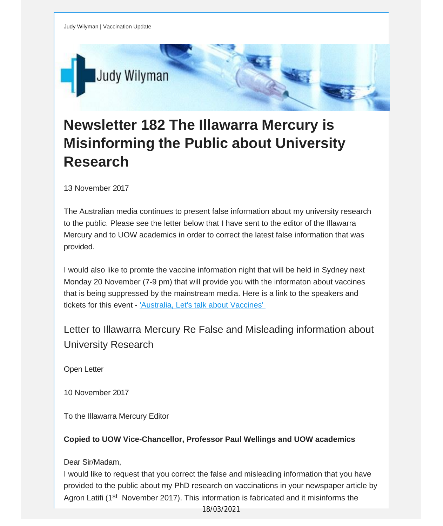

## **Newsletter 182 The Illawarra Mercury is Misinforming the Public about University Research**

13 November 2017

The Australian media continues to present false information about my university research to the public. Please see the letter below that I have sent to the editor of the Illawarra Mercury and to UOW academics in order to correct the latest false information that was provided.

I would also like to promte the vaccine information night that will be held in Sydney next Monday 20 November (7-9 pm) that will provide you with the informaton about vaccines that is being suppressed by the mainstream media. Here is a link to the speakers and tickets for this event - ['Australia,](https://vaccinationdecisions.us8.list-manage.com/track/click?u=f20605fde3732e41929f4a3f2&id=51650add85&e=fec8337d3c) Let's talk about Vaccines'

Letter to Illawarra Mercury Re False and Misleading information about University Research

Open Letter

10 November 2017

To the Illawarra Mercury Editor

**Copied to UOW Vice-Chancellor, Professor Paul Wellings and UOW academics**

Dear Sir/Madam,

I would like to request that you correct the false and misleading information that you have provided to the public about my PhD research on vaccinations in your newspaper article by Agron Latifi (1st November 2017). This information is fabricated and it misinforms the

18/03/2021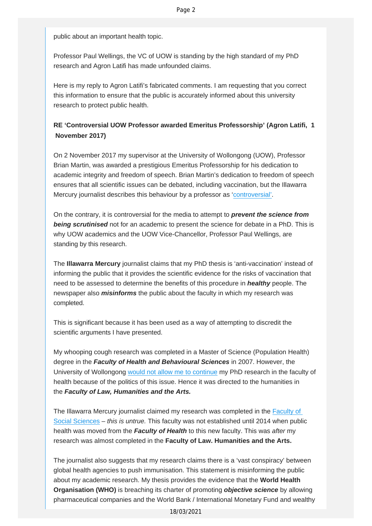public about an important health topic.

Professor Paul Wellings, the VC of UOW is standing by the high standard of my PhD research and Agron Latifi has made unfounded claims.

Here is my reply to Agron Latifi's fabricated comments. I am requesting that you correct this information to ensure that the public is accurately informed about this university research to protect public health.

## **RE 'Controversial UOW Professor awarded Emeritus Professorship' (Agron Latifi, 1 November 2017)**

On 2 November 2017 my supervisor at the University of Wollongong (UOW), Professor Brian Martin, was awarded a prestigious Emeritus Professorship for his dedication to academic integrity and freedom of speech. Brian Martin's dedication to freedom of speech ensures that all scientific issues can be debated, including vaccination, but the Illawarra Mercury journalist describes this behaviour by a professor as '[controversial'](https://vaccinationdecisions.us8.list-manage.com/track/click?u=f20605fde3732e41929f4a3f2&id=b10670efae&e=fec8337d3c).

On the contrary, it is controversial for the media to attempt to *prevent the science from being scrutinised* not for an academic to present the science for debate in a PhD. This is why UOW academics and the UOW Vice-Chancellor, Professor Paul Wellings, are standing by this research.

The **Illawarra Mercury** journalist claims that my PhD thesis is 'anti-vaccination' instead of informing the public that it provides the scientific evidence for the risks of vaccination that need to be assessed to determine the benefits of this procedure in *healthy* people. The newspaper also *misinforms* the public about the faculty in which my research was completed.

This is significant because it has been used as a way of attempting to discredit the scientific arguments I have presented.

My whooping cough research was completed in a Master of Science (Population Health) degree in the *Faculty of Health and Behavioural Sciences* in 2007. However, the University of Wollongong [would not allow me to continue](https://vaccinationdecisions.us8.list-manage.com/track/click?u=f20605fde3732e41929f4a3f2&id=e1a8c17436&e=fec8337d3c) my PhD research in the faculty of health because of the politics of this issue. Hence it was directed to the humanities in the *Faculty of Law, Humanities and the Arts.*

The Illawarra Mercury journalist claimed my research was completed in the [Faculty of](https://vaccinationdecisions.us8.list-manage.com/track/click?u=f20605fde3732e41929f4a3f2&id=9f9d3a55c3&e=fec8337d3c) [Social Sciences](https://vaccinationdecisions.us8.list-manage.com/track/click?u=f20605fde3732e41929f4a3f2&id=9f9d3a55c3&e=fec8337d3c) – *this is untrue.* This faculty was not established until 2014 when public health was moved from the *Faculty of Health* to this new faculty. This was *after* my research was almost completed in the **Faculty of Law. Humanities and the Arts.**

The journalist also suggests that my research claims there is a 'vast conspiracy' between global health agencies to push immunisation. This statement is misinforming the public about my academic research. My thesis provides the evidence that the **World Health Organisation (WHO)** is breaching its charter of promoting *objective science* by allowing pharmaceutical companies and the World Bank / International Monetary Fund and wealthy

18/03/2021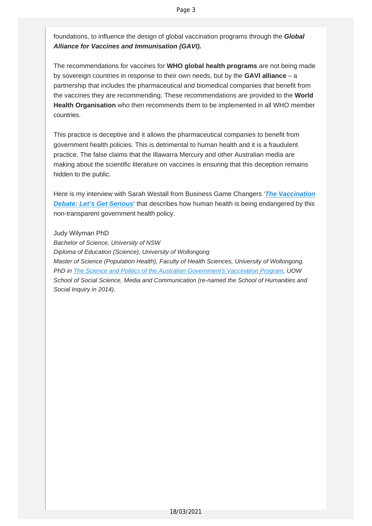foundations, to influence the design of global vaccination programs through the *Global Alliance for Vaccines and Immunisation (GAVI).*

The recommendations for vaccines for **WHO global health programs** are not being made by sovereign countries in response to their own needs, but by the **GAVI alliance** – a partnership that includes the pharmaceutical and biomedical companies that benefit from the vaccines they are recommending. These recommendations are provided to the **World Health Organisation** who then recommends them to be implemented in all WHO member countries.

This practice is deceptive and it allows the pharmaceutical companies to benefit from government health policies. This is detrimental to human health and it is a fraudulent practice. The false claims that the Illawarra Mercury and other Australian media are making about the scientific literature on vaccines is ensuring that this deception remains hidden to the public.

Here is my interview with Sarah Westall from Business Game Changers '*The [Vaccination](https://vaccinationdecisions.us8.list-manage.com/track/click?u=f20605fde3732e41929f4a3f2&id=98944ac7a5&e=fec8337d3c)* **Debate: Let's Get [Serious](https://vaccinationdecisions.us8.list-manage.com/track/click?u=f20605fde3732e41929f4a3f2&id=98944ac7a5&e=fec8337d3c)'** that describes how human health is being endangered by this non-transparent government health policy.

Judy Wilyman PhD

*Bachelor of Science, University of NSW Diploma of Education (Science), University of Wollongong Master of Science (Population Health), Faculty of Health Sciences, University of Wollongong. PhD in The Science and Politics of the Australian [Government's](https://vaccinationdecisions.us8.list-manage.com/track/click?u=f20605fde3732e41929f4a3f2&id=db1aa8a9ea&e=fec8337d3c) Vaccination Program, UOW School of Social Science, Media and Communication (re-named the School of Humanities and Social Inquiry in 2014).*